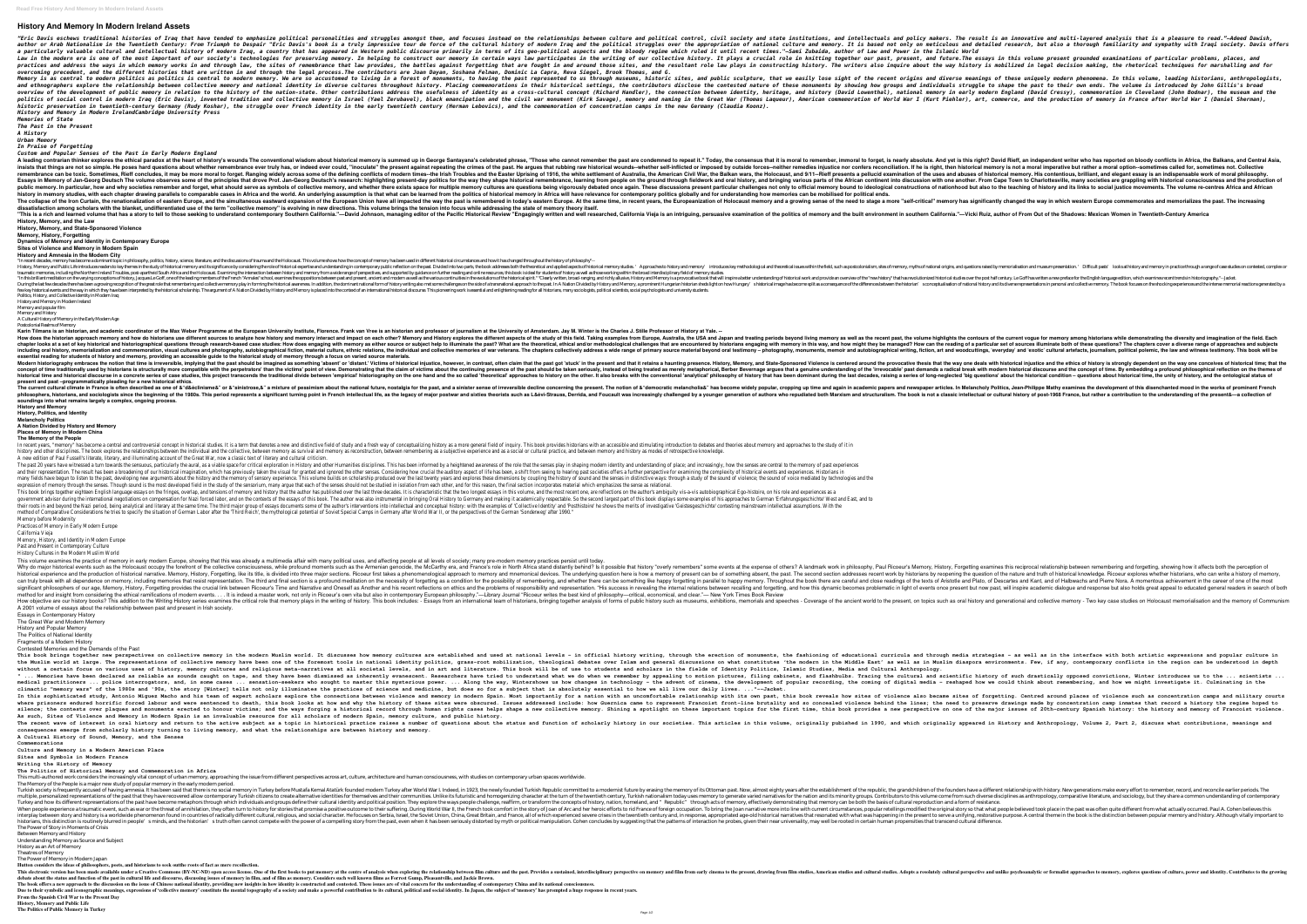# **History And Memory In Modern Ireland Assets**

"Eric Davis eschews traditional histories of Irag that have tended to emphasize political personalitical personalitical personalitical personalities and struggles amongst them, and focuses instead on the relationships betw the The Trumph to Despair in the Twentieth Century: From Triumph to Despair "Eric Davis's book is a truly impressive tour de force of the cultural history of modern Irag and the political struggles over the appropriation o a particularly valuable cultural and intellectual history of modern Iraq, a country that has appeared in Western public discourse primarily in terms of its geo-political aspects and the bloody regime which ruled it until r the modern era is one of the most important of our society's technologies for preserving memory. In helping to construct our memory. In helping to construct our memory in certain ways law participates in the writing of our the sites ond address the ways in which memory works in and through law, the sites of remembrance that law provides, the battles against forgetting history. The writers also inquire about the way history is mobilized in le *overcoming precedent, and the different histories that are written in and through the legal process.The contributors are Joan Dayan, Soshana Felman, Dominic La Capra, Reva Siegel, Brook Thomas, and G.* Memory is as central to modern politics as politics is central to modern memory. We are so accustomed to these uniquely modern phenomena. In this volume, leading historians, anthropologists, Memory is as central to modern and ethnographers explore the relationship between collective memory and national identity in diverse cultures throughout history. Placing commemorations in their history. Placing commemorations in their history. Placing c the development of public memory in relation to the history of the nation-state. Other contributions address the usefulness of identity, heritage, and history (David Lowenthal), national memory in early modern England (Dav rented tradition and critional in modern Iraq (Eric Davis), invented tradition and tradition and collective memory in Israel (Yael Zerubavel), black emancipation and the sivil war monument (Kirk Savage), memory and naming historic preservation in twentieth-century Germany (Rudy Koshar), the struggle over French identity in the early twentieth century (Herman Lebovics), and the commemoration of concentration camps in the new Germany (Claudia *History and Memory in Modern IrelandCambridge University Press Memories of State*

*The Past in the Present*

*A History Urban Memory*

A leading contrarian thinker explores the ethical paradox at the heart of history's wounds The conventional wisdom about historical memory is summed up in George Santayana's celebrated phrase. "Those who cannot remember th insists that things are not so simple. He poses hard questions about whether remembrance ever truly has, or indeed ever truly has, or indeed ever could, "inoculate" the present against repeating the crimes of the present a remembrance can be toxic. Sometimes, Rieff concludes, it may be more moral to forget. Ranging widely across some of the uses and abuses of historical memory. His contentious, brilliant, and elegant essay is an indispensabl Essays in Memory of Jan-Georg Deutsch The volume observes some of the principles that drove Prof. Jan-Georg Deutsch's research: highlighting present-day politics for the way they shape historical remembrance, learning from or public memory. In particular, how and why societies remember and forget, what should serve as symbols of collective memory, and whether there exists space for multiple memory and its links to social justice movements. T history in memory studies, with each chapter drawing parallels to comparable cases in Africa and the world. An underlying assumption is that what can be learned from the politics globally and for understanding how memories The collapse of the Iron Curtain, the renationalization of eastern Europe, and the simultaneous eastward expansion of the same time, in recent years, the European Union have all impacted the way in which western Europe com dissatisfaction among scholars with the blanket, undifferentiated use of the term "collective memory" is evolving in new directions. This volume brings the tension into focus while addressing the state of memory theory its "This is a rich and learned volume that has a story to tell to those seeking to understand contemporary Southern California."—David Johnson, managing editor of the Dacific Historical Review "Engagingly written and well res **History, Memory, and the Law**

*In Praise of Forgetting*

*Custom and Popular Senses of the Past in Early Modern England*

Postcolonial Realms of Memory Karin Tilmans is an historian, and academic coordinator of the Max Weber Programme at the European University Institute, Florence. Frank van Vree is an historian and professor of journalism at the University of Amsterdam. How does the historian approach memory and how do historians use different sources to analyze how history and memory and memory and memory and memory as well as the recent past, the volume highlights the contours of the cu how does engaging with memory in the sect of the part of key historical and historiographical questions through research-based case studies: How does engaging with memory as either source or subject help to illuminate both including oral history, memorialization and commemoration, visual cultures and photography, autobiography, autobiographical fiction, material culture, ethnic relations, the individual and testimony – photography, monuments **essential reading for students of history and memory, providing an accessible guide to the historical study of memory through a focus on varied source materials.** Modern historiography embraces the notion that time is irreversible, implying that the past should be imagined as something 'absent' or 'distant.' Victims of historical injustice, however, in contrast, often claim that the reconcept of time traditionally used by historians is structurally more compatible with the perpetrators' than the perpetrators' than the victims point of view. Demonstrating that a denuine understanding of the concer hist historical time and historical discourse in a concrete series of case studies, this project transcends the traditional divide between 'empirical' historical condition – questions about the historical condition – questions **present and past –programmatically pleading for a new historical ethics.** The current cultural climate in France is often described as one of &"d&éclinisme&" or &"d&éclinisme&" or &"sinistrose.&" a mixture of pessimism about the national future, nostalgia for the past, and a sinister sense of ir

**History, Memory, and State-Sponsored Violence**

**Memory, History, Forgetting**

**Dynamics of Memory and Identity in Contemporary Europe**

**Sites of Violence and Memory in Modern Spain History and Amnesia in the Modern City** "In recent decades, memory has become a dominant topic in philosophy, politics, history, science, literature, and the discussions of trauma and the Holocaust. This volume shows how the concept of memory has been used in di : Approaches to history and memory and Public Life introduces readers to key themes in the study of historical memory and its significance by considering the role of historical expertise and understanding in contemporary p traumatic memories, including the Northern Ireland Troubles, post-apartheid South Africa and the Holocaust. Examining the intersection between history and memory from a wide range of perspectives, and supported by guidance "In this brilliant meditation on the varying conceptions of history, Jacques Le Goff, one of the leading members of the leading members of the French "Annales" school, examines the oppositions between past and present, anc During the last few decades there has been a growing recognition of the great role that remembering and collective memory play in forming the historical awareness. In addition, the dominant national form of history and Mem Few key historical events and the way in which they have been interpreted by the historical scholarship. The argument of A Nation Divided by History and Memory is placed into the context of an international historical disc Politics, History, and Collective Identity in Modern Iraq

History and Memory in Modern Ireland

Memory and popular film

Memory and History A Cultural History of Memory in the Early Modern Age

Past and Present in Contemporary C History Cultures in the Modern Muslin This volume examines the practice of memory in early modern Europe, showing that this was already a multimedia affair with many political uses, and affecting people at all levels of society; many pre-modern memory practice Why do major historical events such as the Holocaust occupy the forefront of the collective consciousness, while profound moments such as the Armenian genocide, the McCarthy era, and France's role in North Africa stand dis historical experience and the production of historical narrative. Memory, History, Forgetting, like its orgetting, like its title, is divided into three major section addresses recent work by historians by reopening the qu recal with all dependence on memory, including memories that resist representation. The third and final section is a profound meditation on the necessity of Halbwachs and Plerre Nora. A momentous achievement in the career His success in revealing the and how past, will inspar a provides the crucial link between Ricoeur's Time and Narrative and Oneself as Another and his recent reflections on ethics and the problems of responsibility and res method for and insight from considering the ethical ramifications of modern events. . . . It is indeed a master work, not only in Ricoeur's own vita but also in contemporary European philosophy."—Library Journal "Ricoeur w How objective are our history books? This addition to the Writing History series examines the critical role the to critical role that memory plays in the writing of history. This book includes: - Essays from an internation A 2001 volume of essays about the relationship between past and present in Irish society.

This book brings together new perspectives on collective memory in the modern Muslim world. It discusses how memory cultures are established and used at national levels - in official history writing, through the erection o the Muslim world at large. The representations of collective memory have been one of the foremost tools in mational identical debates over Islam and general discussions on what constitutes 'the modern in the Middle East' a without a certain focus on various uses of history, memory cultures and religious meta-narratives at all societal levels, and in art and literature. This book will be of use to students and scholars in the fields of Identi "... Memories have been declared as reliable as sounds caught on tape, and they have been dismissed as inherently evanescent. Researchers have tried to understand what we do when we remember by appealing to motion pictures nedical practitioners ... police interrogators, and, in some cases ... sensation-seekers who sought to master this mysterious power. ... Along the way, Wintershows us how changes in technology - the advent of popular recor climactic "memory wars" of the 1980s and '90s, the story [Winter] tells not only illuminates the practices of science and medicine, but does so for a subject that is absolutely essential to how we all live our daily lives. In this sophisticated study, Antonio Míguez Macho and his team of expert scholars explore the connections between sites of forgetting. Centred around places of violence and memory in modern Spain. Most importantly for a na where prisoners endured horrific forced labour and were sentenced to death, this book looks at how and why the need to preserve drawings made by concentration camp inmates that record a history the regime hoped to where pr shining a spotlight on one plaques and monuments erected to honour victims; and the ways forging a historical record through human rights cases helps shape a new collective memory. Shining a spotlight on these important to **As such, Sites of Violence and Memory in Modern Spain is an invaluable resource for all scholars of modern Spain, memory culture, and public history.** The recent wave of interest in oral history and return to the active subject as a topic in history and Mich originally appeared in History and Anthropology, Volume 2, Part 2, discuss what contributions, meanings and meanin **consequences emerge from scholarly history turning to living memory, and what the relationships are between history and memory. A Cultural History of Sound, Memory, and the Senses**

This multi-authored work considers the increasingly vital concept of urban memory, approaching the issue from different perspectives across art, culture, architecture and human consciousness, with studies on contemporary u The Memory of the People is a major new study of popular memory in the early modern period.

Turkey and how its different representations of the past have become metaphors through which individuals and groups define their cultural identity and political position. They explore the ways people challenge, reaffirm, o istorians, this distinction is routinely blurred in people′s minds, and the historian′s truth often cannot compete with the power of a compelling story from the past, even when it has been seriously distorted by myth or po The Power of Story in Moments of Crisis

**soundings into what remains largely a complex, ongoing process.**

**History and Memory History, Politics, and Identity**

**Melancholy Politics**

**A Nation Divided by History and Memory Places of Memory in Modern China**

**The Memory of the People**

In recent years, "memory" has become a central and controversial concept in historical studies. It is a term that denotes a new and distinctive field of inquiry. This book provides historians with an accessible and stimula history and other disciplines. The book explores the relationships between the individual and the collective, between memory as survival and memory as survival and memory as survival and memory as reconstruction, between r A new edition of Paul Fussell's literate, literary, and illuminating account of the Great War, now a classic text of litera The past 20 years have witnessed a turn towards the sensuous, particularly the aural, as a viable space for critical exploration in History and other Humanities disciplines. This has been informed by a heightened awareness and their representation. The result has been a broadening of our historical imagination, which has previously taken the visual for granted and ignored the other senses. Considering how crucial the auditory aspect of life many fields have begun to listen to the past, developing new arguments about the history and the memory of sensory experience. This volume builds on scholarship produced over the last twenty years and explores these dimens expression of memory through the senses. Though sound is the most developed field in the study of the sensorium, many arque that each of the senses should not be studied in isolation from each other, and for this reason, t This book brings together eighteen English language essays on the fringes, overlap, and tensions of memory and history that the author has published over the last three decades. It is characteristic that the two longest es government advisor during the international negotiations on compensation for Nazi forced labor, and on the contexts of the essays of this book. The author was also instrumental in bringing Oral History to Germany and makin their roots in and beyond the Nazi period, being analytical and literary at the same time. The third major group of essays documents some of the author's interventions into intellectual and conceptual history: with the exa method of Comparative Considerations he tries to specify the situation of German Labor after the 'Third Reich', the mythological potential of Soviet Special Camps in Germany after World War II, or the perspecti Memory before Mode

Practices of Memory in Early Modern

California Vie

Memory, History, and Identity in Modern

This electronic version has been made available under a Creative Commons (BY-NC-ND) open access license. One of the first books to put memory at the centre of analysis when exploring the relationship between film culture a debate about the status and function of the past in cultural life and discourse, discussing issues of memory in film, and of film as memory. Considers such well known films as Forrest Gump, Pleasantville, and Jackie Brown. The book offers a new approach to the discussion on the issue of Chinese national identity, providing new insights in how identity is constructed and contested. These issues are of vital concern for the understanding of co Due to their symbolic and iconographic meanings, expressions of 'collective memory' constitute the mental topography of a society and make a powerful contribution to its cultural, political and social identity. In Japan, t **From the Spanish Civil War to the Present Day**

Essays in Contemporary History The Great War and Modern Memory

History and Popular Memory

The Politics of National Identity

Fragments of a Modern History

Contested Memories and the Demands of the Past

**Commemorations Culture and Memory in a Modern American Place**

**Sites and Symbols in Modern France**

**Writing the History of Memory**

**The Politics of Historical Memory and Commemoration in Africa**

Between Memory and History

Understanding Memory as Source and Subject

History as an Art of Memory Theatres of Memory

The Power of Memory in Modern Japan

**Hutton considers the ideas of philosophers, poets, and historians to seek outthe roots of fact as mere recollection.**

**History, Memory and Public Life**

**The Politics of Public Memory in Turkey**

historians, and sociologists since the beginning of the 1980s. This period represents a significant turning point in French intellectual or cultural history of post-1968 France, but rather a contribution to the understandi

Turkish society is frequently accused of having amnesia. It has been said that there is no social memory in Turkey before Mustafa Kemal Atatürk founded modern Turkey after world War I. Indeed, in 1923, the newly founded Tu multiple, personalized representations of the past that they have recovered allow contemporary Turkish citizens to create alternative identities for the nation and its minority groups. Contributors to denerate varied narra When people experience a traumatic event, such as war or the threat of annihilation, they often turn to history for stories that promise a positive outcome to their suffering. During World War II, the French took place in interplay between story and history is a worldwide phenomenon found in countries of radically different cultural, religious, and social character. He focuses on Serbia, Israel, the brook is the distinction between popular